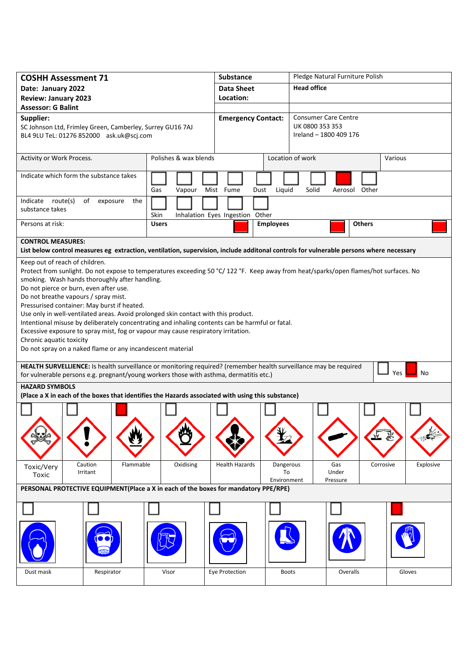| <b>COSHH Assessment 71</b>                                                                                                                                                                                               |                         | <b>Substance</b>                   | Pledge Natural Furniture Polish |                        |  |  |  |
|--------------------------------------------------------------------------------------------------------------------------------------------------------------------------------------------------------------------------|-------------------------|------------------------------------|---------------------------------|------------------------|--|--|--|
| Date: January 2022                                                                                                                                                                                                       |                         | <b>Data Sheet</b>                  | <b>Head office</b>              |                        |  |  |  |
| <b>Review: January 2023</b>                                                                                                                                                                                              |                         | Location:                          |                                 |                        |  |  |  |
| <b>Assessor: G Balint</b>                                                                                                                                                                                                |                         |                                    |                                 |                        |  |  |  |
| Supplier:                                                                                                                                                                                                                |                         | <b>Emergency Contact:</b>          | <b>Consumer Care Centre</b>     |                        |  |  |  |
| SC Johnson Ltd, Frimley Green, Camberley, Surrey GU16 7AJ                                                                                                                                                                |                         |                                    | UK 0800 353 353                 |                        |  |  |  |
| BL4 9LU TeL: 01276 852000 ask.uk@scj.com                                                                                                                                                                                 |                         |                                    | Ireland - 1800 409 176          |                        |  |  |  |
|                                                                                                                                                                                                                          |                         |                                    |                                 |                        |  |  |  |
| Activity or Work Process.                                                                                                                                                                                                | Polishes & wax blends   |                                    | Location of work                | Various                |  |  |  |
| Indicate which form the substance takes                                                                                                                                                                                  |                         |                                    |                                 |                        |  |  |  |
|                                                                                                                                                                                                                          |                         |                                    |                                 |                        |  |  |  |
|                                                                                                                                                                                                                          | Gas<br>Vapour Mist Fume | Liquid<br>Dust                     | Solid<br>Aerosol Other          |                        |  |  |  |
| Indicate route(s)<br>of<br>exposure<br>the                                                                                                                                                                               |                         |                                    |                                 |                        |  |  |  |
| substance takes                                                                                                                                                                                                          | Skin                    | Inhalation Eyes Ingestion Other    |                                 |                        |  |  |  |
| Persons at risk:                                                                                                                                                                                                         | <b>Users</b>            | <b>Employees</b>                   | <b>Others</b>                   |                        |  |  |  |
|                                                                                                                                                                                                                          |                         |                                    |                                 |                        |  |  |  |
| <b>CONTROL MEASURES:</b>                                                                                                                                                                                                 |                         |                                    |                                 |                        |  |  |  |
| List below control measures eg extraction, ventilation, supervision, include additonal controls for vulnerable persons where necessary                                                                                   |                         |                                    |                                 |                        |  |  |  |
| Keep out of reach of children.                                                                                                                                                                                           |                         |                                    |                                 |                        |  |  |  |
| Protect from sunlight. Do not expose to temperatures exceeding 50 °C/122 °F. Keep away from heat/sparks/open flames/hot surfaces. No                                                                                     |                         |                                    |                                 |                        |  |  |  |
| smoking. Wash hands thoroughly after handling.                                                                                                                                                                           |                         |                                    |                                 |                        |  |  |  |
| Do not pierce or burn, even after use.                                                                                                                                                                                   |                         |                                    |                                 |                        |  |  |  |
| Do not breathe vapours / spray mist.<br>Pressurised container: May burst if heated.                                                                                                                                      |                         |                                    |                                 |                        |  |  |  |
| Use only in well-ventilated areas. Avoid prolonged skin contact with this product.                                                                                                                                       |                         |                                    |                                 |                        |  |  |  |
| Intentional misuse by deliberately concentrating and inhaling contents can be harmful or fatal.                                                                                                                          |                         |                                    |                                 |                        |  |  |  |
| Excessive exposure to spray mist, fog or vapour may cause respiratory irritation.                                                                                                                                        |                         |                                    |                                 |                        |  |  |  |
| Chronic aquatic toxicity                                                                                                                                                                                                 |                         |                                    |                                 |                        |  |  |  |
| Do not spray on a naked flame or any incandescent material                                                                                                                                                               |                         |                                    |                                 |                        |  |  |  |
|                                                                                                                                                                                                                          |                         |                                    |                                 |                        |  |  |  |
| HEALTH SURVELLIENCE: Is health surveillance or monitoring required? (remember health surveillance may be required<br>Yes<br>No<br>for vulnerable persons e.g. pregnant/young workers those with asthma, dermatitis etc.) |                         |                                    |                                 |                        |  |  |  |
|                                                                                                                                                                                                                          |                         |                                    |                                 |                        |  |  |  |
| <b>HAZARD SYMBOLS</b><br>(Place a X in each of the boxes that identifies the Hazards associated with using this substance)                                                                                               |                         |                                    |                                 |                        |  |  |  |
|                                                                                                                                                                                                                          |                         |                                    |                                 |                        |  |  |  |
|                                                                                                                                                                                                                          |                         |                                    |                                 |                        |  |  |  |
|                                                                                                                                                                                                                          |                         |                                    |                                 |                        |  |  |  |
|                                                                                                                                                                                                                          |                         |                                    |                                 |                        |  |  |  |
|                                                                                                                                                                                                                          |                         |                                    |                                 |                        |  |  |  |
|                                                                                                                                                                                                                          |                         |                                    |                                 |                        |  |  |  |
| Caution<br>Flammable                                                                                                                                                                                                     | Oxidising               | <b>Health Hazards</b><br>Dangerous | Gas                             | Corrosive<br>Explosive |  |  |  |
| Toxic/Very<br>Irritant                                                                                                                                                                                                   |                         | To                                 | Under                           |                        |  |  |  |
| Toxic                                                                                                                                                                                                                    |                         | Environment                        | Pressure                        |                        |  |  |  |
| PERSONAL PROTECTIVE EQUIPMENT(Place a X in each of the boxes for mandatory PPE/RPE)                                                                                                                                      |                         |                                    |                                 |                        |  |  |  |
|                                                                                                                                                                                                                          |                         |                                    |                                 |                        |  |  |  |
|                                                                                                                                                                                                                          |                         |                                    |                                 |                        |  |  |  |
|                                                                                                                                                                                                                          |                         |                                    |                                 |                        |  |  |  |
|                                                                                                                                                                                                                          |                         |                                    |                                 |                        |  |  |  |
|                                                                                                                                                                                                                          |                         |                                    |                                 |                        |  |  |  |
|                                                                                                                                                                                                                          |                         |                                    |                                 |                        |  |  |  |
|                                                                                                                                                                                                                          |                         |                                    |                                 |                        |  |  |  |
| Dust mask<br>Respirator                                                                                                                                                                                                  | Visor                   | Eye Protection<br><b>Boots</b>     | Overalls                        | Gloves                 |  |  |  |
|                                                                                                                                                                                                                          |                         |                                    |                                 |                        |  |  |  |
|                                                                                                                                                                                                                          |                         |                                    |                                 |                        |  |  |  |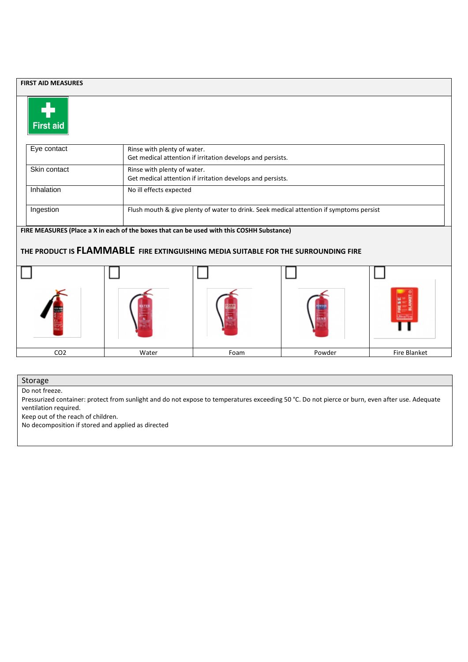| <b>FIRST AID MEASURES</b>                                                                                                                                                        |       |                                                                                           |        |                     |  |  |  |
|----------------------------------------------------------------------------------------------------------------------------------------------------------------------------------|-------|-------------------------------------------------------------------------------------------|--------|---------------------|--|--|--|
| <b>First aid</b>                                                                                                                                                                 |       |                                                                                           |        |                     |  |  |  |
| Eye contact                                                                                                                                                                      |       | Rinse with plenty of water.<br>Get medical attention if irritation develops and persists. |        |                     |  |  |  |
| Skin contact                                                                                                                                                                     |       | Rinse with plenty of water.<br>Get medical attention if irritation develops and persists. |        |                     |  |  |  |
| Inhalation                                                                                                                                                                       |       | No ill effects expected                                                                   |        |                     |  |  |  |
| Ingestion                                                                                                                                                                        |       | Flush mouth & give plenty of water to drink. Seek medical attention if symptoms persist   |        |                     |  |  |  |
| FIRE MEASURES (Place a X in each of the boxes that can be used with this COSHH Substance)<br>THE PRODUCT IS FLAMMABLE FIRE EXTINGUISHING MEDIA SUITABLE FOR THE SURROUNDING FIRE |       |                                                                                           |        |                     |  |  |  |
|                                                                                                                                                                                  |       |                                                                                           |        |                     |  |  |  |
|                                                                                                                                                                                  |       |                                                                                           |        |                     |  |  |  |
| CO <sub>2</sub>                                                                                                                                                                  | Water | Foam                                                                                      | Powder | <b>Fire Blanket</b> |  |  |  |

Storage

Do not freeze.

Pressurized container: protect from sunlight and do not expose to temperatures exceeding 50 °C. Do not pierce or burn, even after use. Adequate ventilation required.

Keep out of the reach of children.

No decomposition if stored and applied as directed